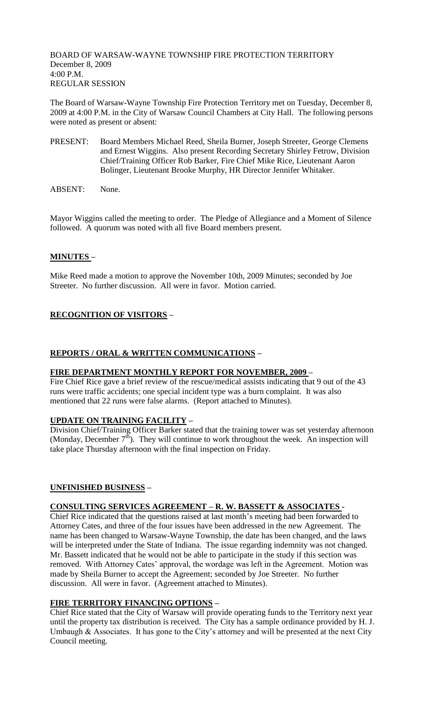BOARD OF WARSAW-WAYNE TOWNSHIP FIRE PROTECTION TERRITORY December 8, 2009 4:00 P.M. REGULAR SESSION

The Board of Warsaw-Wayne Township Fire Protection Territory met on Tuesday, December 8, 2009 at 4:00 P.M. in the City of Warsaw Council Chambers at City Hall. The following persons were noted as present or absent:

- PRESENT: Board Members Michael Reed, Sheila Burner, Joseph Streeter, George Clemens and Ernest Wiggins. Also present Recording Secretary Shirley Fetrow, Division Chief/Training Officer Rob Barker, Fire Chief Mike Rice, Lieutenant Aaron Bolinger, Lieutenant Brooke Murphy, HR Director Jennifer Whitaker.
- ABSENT: None.

Mayor Wiggins called the meeting to order. The Pledge of Allegiance and a Moment of Silence followed. A quorum was noted with all five Board members present.

# **MINUTES –**

Mike Reed made a motion to approve the November 10th, 2009 Minutes; seconded by Joe Streeter. No further discussion. All were in favor. Motion carried.

# **RECOGNITION OF VISITORS –**

### **REPORTS / ORAL & WRITTEN COMMUNICATIONS –**

### **FIRE DEPARTMENT MONTHLY REPORT FOR NOVEMBER, 2009 –**

Fire Chief Rice gave a brief review of the rescue/medical assists indicating that 9 out of the 43 runs were traffic accidents; one special incident type was a burn complaint. It was also mentioned that 22 runs were false alarms. (Report attached to Minutes).

### **UPDATE ON TRAINING FACILITY –**

Division Chief/Training Officer Barker stated that the training tower was set yesterday afternoon (Monday, December  $7<sup>th</sup>$ ). They will continue to work throughout the week. An inspection will take place Thursday afternoon with the final inspection on Friday.

### **UNFINISHED BUSINESS –**

### **CONSULTING SERVICES AGREEMENT – R. W. BASSETT & ASSOCIATES -**

Chief Rice indicated that the questions raised at last month's meeting had been forwarded to Attorney Cates, and three of the four issues have been addressed in the new Agreement. The name has been changed to Warsaw-Wayne Township, the date has been changed, and the laws will be interpreted under the State of Indiana. The issue regarding indemnity was not changed. Mr. Bassett indicated that he would not be able to participate in the study if this section was removed. With Attorney Cates' approval, the wordage was left in the Agreement. Motion was made by Sheila Burner to accept the Agreement; seconded by Joe Streeter. No further discussion. All were in favor. (Agreement attached to Minutes).

### **FIRE TERRITORY FINANCING OPTIONS –**

Chief Rice stated that the City of Warsaw will provide operating funds to the Territory next year until the property tax distribution is received. The City has a sample ordinance provided by H. J. Umbaugh  $&$  Associates. It has gone to the City's attorney and will be presented at the next City Council meeting.